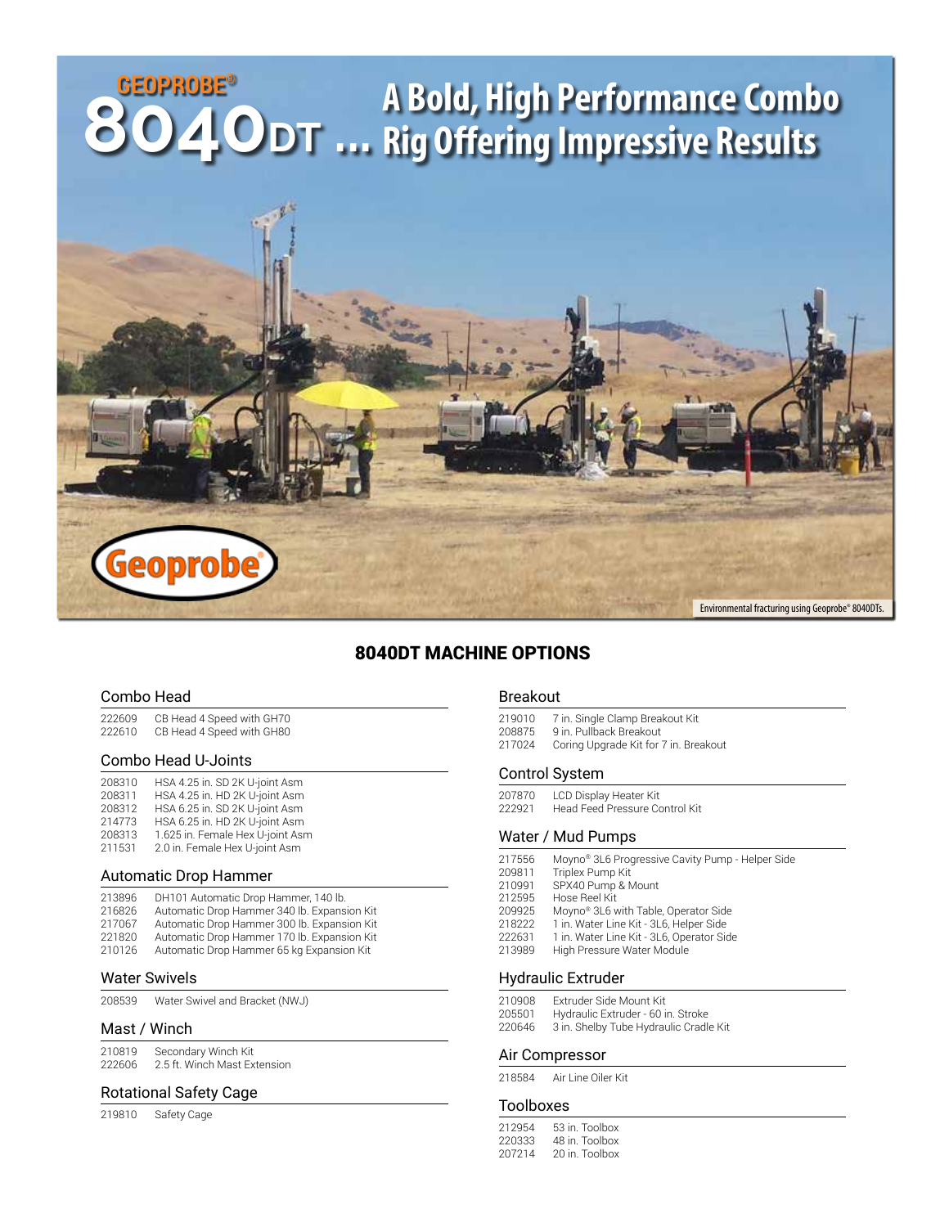# **GEOPROBE® A Bold, High Performance Combo 8040DT ... Rig Offering Impressive Results**Geoprob Environmental fracturing using Geoprobe® 8040DTs.

### 8040DT MACHINE OPTIONS

#### Combo Head

| 222609 | CB Head 4 Speed with GH70 |
|--------|---------------------------|
| 222610 | CB Head 4 Speed with GH80 |

#### Combo Head U-Joints

| 208310 | HSA 4.25 in. SD 2K U-joint Asm   |
|--------|----------------------------------|
| 208311 | HSA 4.25 in. HD 2K U-joint Asm   |
| 208312 | HSA 6.25 in. SD 2K U-joint Asm   |
| 214773 | HSA 6.25 in. HD 2K U-joint Asm   |
| 208313 | 1.625 in. Female Hex U-joint Asm |
| 211531 | 2.0 in. Female Hex U-joint Asm   |

#### Automatic Drop Hammer

| 213896 | DH101 Automatic Drop Hammer, 140 lb.        |
|--------|---------------------------------------------|
| 216826 | Automatic Drop Hammer 340 lb. Expansion Kit |
| 217067 | Automatic Drop Hammer 300 lb. Expansion Kit |
| 221820 | Automatic Drop Hammer 170 lb. Expansion Kit |
| 210126 | Automatic Drop Hammer 65 kg Expansion Kit   |

#### Water Swivels

Water Swivel and Bracket (NWJ)

#### Mast / Winch

| 210819 | Secondary Winch Kit          |
|--------|------------------------------|
| 222606 | 2.5 ft. Winch Mast Extension |

#### Rotational Safety Cage

Safety Cage

#### Breakout

219010 7 in. Single Clamp Breakout Kit<br>208875 9 in. Pullback Breakout 9 in. Pullback Breakout Coring Upgrade Kit for 7 in. Breakout

#### Control System

207870 LCD Display Heater Kit<br>222921 Head Feed Pressure Co Head Feed Pressure Control Kit

#### Water / Mud Pumps

| 217556 | Moyno <sup>®</sup> 3L6 Progressive Cavity Pump - Helper Side |
|--------|--------------------------------------------------------------|
| 209811 | Triplex Pump Kit                                             |
| 210991 | SPX40 Pump & Mount                                           |
| 212595 | Hose Reel Kit                                                |
| 209925 | Moyno <sup>®</sup> 3L6 with Table, Operator Side             |
| 218222 | 1 in. Water Line Kit - 3L6, Helper Side                      |
| 222631 | 1 in. Water Line Kit - 3L6, Operator Side                    |
| 213989 | High Pressure Water Module                                   |
|        |                                                              |
|        |                                                              |

#### Hydraulic Extruder

| 210908 | Extruder Side Mount Kit                |
|--------|----------------------------------------|
| 205501 | Hydraulic Extruder - 60 in. Stroke     |
| 220646 | 3 in. Shelby Tube Hydraulic Cradle Kit |

#### Air Compressor

Air Line Oiler Kit

#### Toolboxes

| 212954 | 53 in Toolbox |
|--------|---------------|
| 220333 | 48 in Toolbox |
| 207214 | 20 in Toolbox |